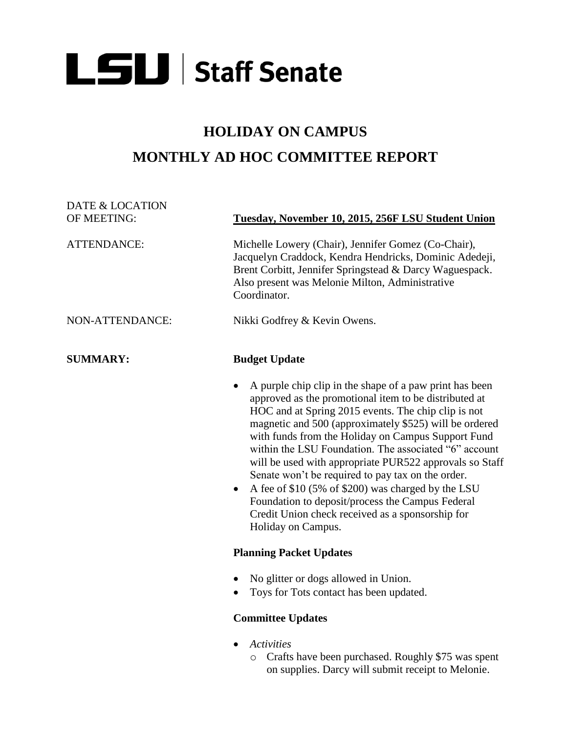## **LSU** Staff Senate

## **HOLIDAY ON CAMPUS MONTHLY AD HOC COMMITTEE REPORT**

| <b>DATE &amp; LOCATION</b> |                                                                                                                                                                                                                                                                                                                                                                                                                                                                                                                                                                                                                                                      |
|----------------------------|------------------------------------------------------------------------------------------------------------------------------------------------------------------------------------------------------------------------------------------------------------------------------------------------------------------------------------------------------------------------------------------------------------------------------------------------------------------------------------------------------------------------------------------------------------------------------------------------------------------------------------------------------|
| OF MEETING:                | Tuesday, November 10, 2015, 256F LSU Student Union                                                                                                                                                                                                                                                                                                                                                                                                                                                                                                                                                                                                   |
| <b>ATTENDANCE:</b>         | Michelle Lowery (Chair), Jennifer Gomez (Co-Chair),<br>Jacquelyn Craddock, Kendra Hendricks, Dominic Adedeji,<br>Brent Corbitt, Jennifer Springstead & Darcy Waguespack.<br>Also present was Melonie Milton, Administrative<br>Coordinator.                                                                                                                                                                                                                                                                                                                                                                                                          |
| NON-ATTENDANCE:            | Nikki Godfrey & Kevin Owens.                                                                                                                                                                                                                                                                                                                                                                                                                                                                                                                                                                                                                         |
| <b>SUMMARY:</b>            | <b>Budget Update</b>                                                                                                                                                                                                                                                                                                                                                                                                                                                                                                                                                                                                                                 |
|                            | A purple chip clip in the shape of a paw print has been<br>approved as the promotional item to be distributed at<br>HOC and at Spring 2015 events. The chip clip is not<br>magnetic and 500 (approximately \$525) will be ordered<br>with funds from the Holiday on Campus Support Fund<br>within the LSU Foundation. The associated "6" account<br>will be used with appropriate PUR522 approvals so Staff<br>Senate won't be required to pay tax on the order.<br>A fee of \$10 (5% of \$200) was charged by the LSU<br>Foundation to deposit/process the Campus Federal<br>Credit Union check received as a sponsorship for<br>Holiday on Campus. |
|                            | <b>Planning Packet Updates</b>                                                                                                                                                                                                                                                                                                                                                                                                                                                                                                                                                                                                                       |
|                            | No glitter or dogs allowed in Union.<br>Toys for Tots contact has been updated.                                                                                                                                                                                                                                                                                                                                                                                                                                                                                                                                                                      |
|                            | <b>Committee Updates</b>                                                                                                                                                                                                                                                                                                                                                                                                                                                                                                                                                                                                                             |
|                            |                                                                                                                                                                                                                                                                                                                                                                                                                                                                                                                                                                                                                                                      |

- *Activities*
	- o Crafts have been purchased. Roughly \$75 was spent on supplies. Darcy will submit receipt to Melonie.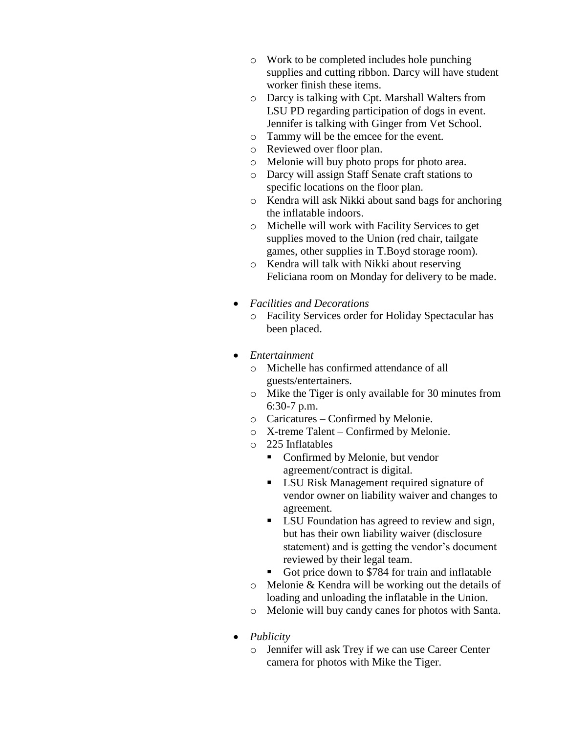- o Work to be completed includes hole punching supplies and cutting ribbon. Darcy will have student worker finish these items.
- o Darcy is talking with Cpt. Marshall Walters from LSU PD regarding participation of dogs in event. Jennifer is talking with Ginger from Vet School.
- o Tammy will be the emcee for the event.
- o Reviewed over floor plan.
- o Melonie will buy photo props for photo area.
- o Darcy will assign Staff Senate craft stations to specific locations on the floor plan.
- o Kendra will ask Nikki about sand bags for anchoring the inflatable indoors.
- o Michelle will work with Facility Services to get supplies moved to the Union (red chair, tailgate games, other supplies in T.Boyd storage room).
- o Kendra will talk with Nikki about reserving Feliciana room on Monday for delivery to be made.
- *Facilities and Decorations*
	- o Facility Services order for Holiday Spectacular has been placed.
- *Entertainment*
	- o Michelle has confirmed attendance of all guests/entertainers.
	- o Mike the Tiger is only available for 30 minutes from 6:30-7 p.m.
	- o Caricatures Confirmed by Melonie.
	- o X-treme Talent Confirmed by Melonie.
	- o 225 Inflatables
		- Confirmed by Melonie, but vendor agreement/contract is digital.
		- LSU Risk Management required signature of vendor owner on liability waiver and changes to agreement.
		- **LSU** Foundation has agreed to review and sign, but has their own liability waiver (disclosure statement) and is getting the vendor's document reviewed by their legal team.
		- Got price down to \$784 for train and inflatable
	- o Melonie & Kendra will be working out the details of loading and unloading the inflatable in the Union.
	- o Melonie will buy candy canes for photos with Santa.
- *Publicity*
	- o Jennifer will ask Trey if we can use Career Center camera for photos with Mike the Tiger.